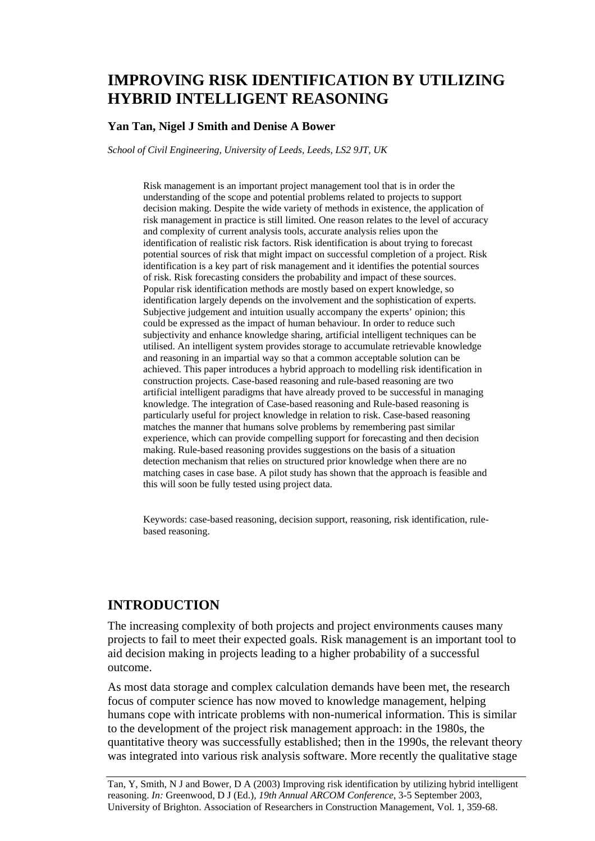# **IMPROVING RISK IDENTIFICATION BY UTILIZING HYBRID INTELLIGENT REASONING**

#### **Yan Tan, Nigel J Smith and Denise A Bower**

*School of Civil Engineering, University of Leeds, Leeds, LS2 9JT, UK* 

Risk management is an important project management tool that is in order the understanding of the scope and potential problems related to projects to support decision making. Despite the wide variety of methods in existence, the application of risk management in practice is still limited. One reason relates to the level of accuracy and complexity of current analysis tools, accurate analysis relies upon the identification of realistic risk factors. Risk identification is about trying to forecast potential sources of risk that might impact on successful completion of a project. Risk identification is a key part of risk management and it identifies the potential sources of risk. Risk forecasting considers the probability and impact of these sources. Popular risk identification methods are mostly based on expert knowledge, so identification largely depends on the involvement and the sophistication of experts. Subjective judgement and intuition usually accompany the experts' opinion; this could be expressed as the impact of human behaviour. In order to reduce such subjectivity and enhance knowledge sharing, artificial intelligent techniques can be utilised. An intelligent system provides storage to accumulate retrievable knowledge and reasoning in an impartial way so that a common acceptable solution can be achieved. This paper introduces a hybrid approach to modelling risk identification in construction projects. Case-based reasoning and rule-based reasoning are two artificial intelligent paradigms that have already proved to be successful in managing knowledge. The integration of Case-based reasoning and Rule-based reasoning is particularly useful for project knowledge in relation to risk. Case-based reasoning matches the manner that humans solve problems by remembering past similar experience, which can provide compelling support for forecasting and then decision making. Rule-based reasoning provides suggestions on the basis of a situation detection mechanism that relies on structured prior knowledge when there are no matching cases in case base. A pilot study has shown that the approach is feasible and this will soon be fully tested using project data.

Keywords: case-based reasoning, decision support, reasoning, risk identification, rulebased reasoning.

### **INTRODUCTION**

The increasing complexity of both projects and project environments causes many projects to fail to meet their expected goals. Risk management is an important tool to aid decision making in projects leading to a higher probability of a successful outcome.

As most data storage and complex calculation demands have been met, the research focus of computer science has now moved to knowledge management, helping humans cope with intricate problems with non-numerical information. This is similar to the development of the project risk management approach: in the 1980s, the quantitative theory was successfully established; then in the 1990s, the relevant theory was integrated into various risk analysis software. More recently the qualitative stage

Tan, Y, Smith, N J and Bower, D A (2003) Improving risk identification by utilizing hybrid intelligent reasoning. *In:* Greenwood, D J (Ed.), *19th Annual ARCOM Conference*, 3-5 September 2003, University of Brighton. Association of Researchers in Construction Management, Vol. 1, 359-68.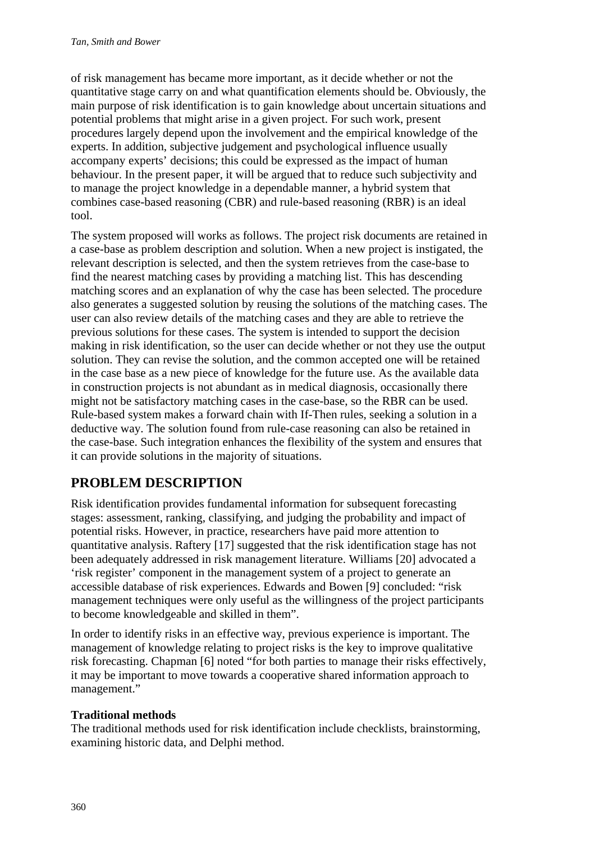of risk management has became more important, as it decide whether or not the quantitative stage carry on and what quantification elements should be. Obviously, the main purpose of risk identification is to gain knowledge about uncertain situations and potential problems that might arise in a given project. For such work, present procedures largely depend upon the involvement and the empirical knowledge of the experts. In addition, subjective judgement and psychological influence usually accompany experts' decisions; this could be expressed as the impact of human behaviour. In the present paper, it will be argued that to reduce such subjectivity and to manage the project knowledge in a dependable manner, a hybrid system that combines case-based reasoning (CBR) and rule-based reasoning (RBR) is an ideal tool.

The system proposed will works as follows. The project risk documents are retained in a case-base as problem description and solution. When a new project is instigated, the relevant description is selected, and then the system retrieves from the case-base to find the nearest matching cases by providing a matching list. This has descending matching scores and an explanation of why the case has been selected. The procedure also generates a suggested solution by reusing the solutions of the matching cases. The user can also review details of the matching cases and they are able to retrieve the previous solutions for these cases. The system is intended to support the decision making in risk identification, so the user can decide whether or not they use the output solution. They can revise the solution, and the common accepted one will be retained in the case base as a new piece of knowledge for the future use. As the available data in construction projects is not abundant as in medical diagnosis, occasionally there might not be satisfactory matching cases in the case-base, so the RBR can be used. Rule-based system makes a forward chain with If-Then rules, seeking a solution in a deductive way. The solution found from rule-case reasoning can also be retained in the case-base. Such integration enhances the flexibility of the system and ensures that it can provide solutions in the majority of situations.

# **PROBLEM DESCRIPTION**

Risk identification provides fundamental information for subsequent forecasting stages: assessment, ranking, classifying, and judging the probability and impact of potential risks. However, in practice, researchers have paid more attention to quantitative analysis. Raftery [17] suggested that the risk identification stage has not been adequately addressed in risk management literature. Williams [20] advocated a 'risk register' component in the management system of a project to generate an accessible database of risk experiences. Edwards and Bowen [9] concluded: "risk management techniques were only useful as the willingness of the project participants to become knowledgeable and skilled in them".

In order to identify risks in an effective way, previous experience is important. The management of knowledge relating to project risks is the key to improve qualitative risk forecasting. Chapman [6] noted "for both parties to manage their risks effectively, it may be important to move towards a cooperative shared information approach to management."

# **Traditional methods**

The traditional methods used for risk identification include checklists, brainstorming, examining historic data, and Delphi method.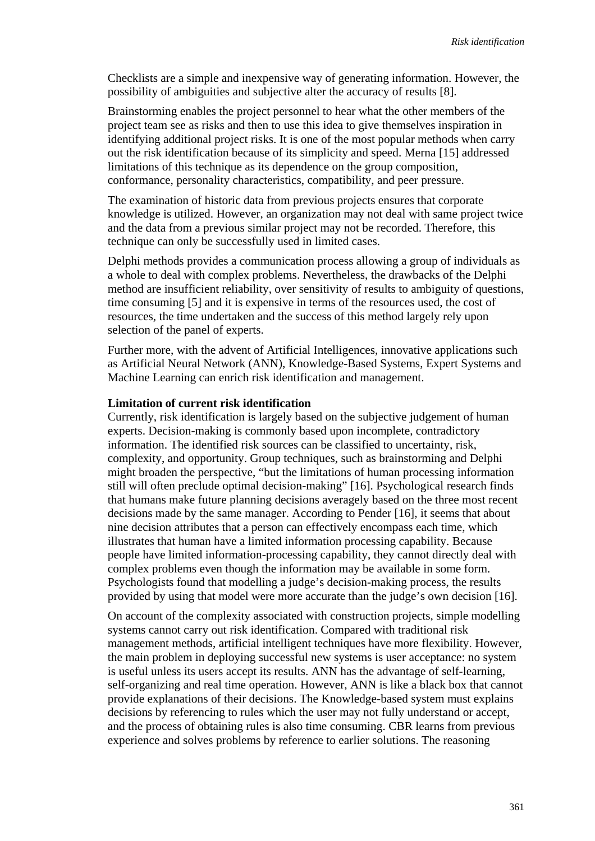Checklists are a simple and inexpensive way of generating information. However, the possibility of ambiguities and subjective alter the accuracy of results [8].

Brainstorming enables the project personnel to hear what the other members of the project team see as risks and then to use this idea to give themselves inspiration in identifying additional project risks. It is one of the most popular methods when carry out the risk identification because of its simplicity and speed. Merna [15] addressed limitations of this technique as its dependence on the group composition, conformance, personality characteristics, compatibility, and peer pressure.

The examination of historic data from previous projects ensures that corporate knowledge is utilized. However, an organization may not deal with same project twice and the data from a previous similar project may not be recorded. Therefore, this technique can only be successfully used in limited cases.

Delphi methods provides a communication process allowing a group of individuals as a whole to deal with complex problems. Nevertheless, the drawbacks of the Delphi method are insufficient reliability, over sensitivity of results to ambiguity of questions, time consuming [5] and it is expensive in terms of the resources used, the cost of resources, the time undertaken and the success of this method largely rely upon selection of the panel of experts.

Further more, with the advent of Artificial Intelligences, innovative applications such as Artificial Neural Network (ANN), Knowledge-Based Systems, Expert Systems and Machine Learning can enrich risk identification and management.

#### **Limitation of current risk identification**

Currently, risk identification is largely based on the subjective judgement of human experts. Decision-making is commonly based upon incomplete, contradictory information. The identified risk sources can be classified to uncertainty, risk, complexity, and opportunity. Group techniques, such as brainstorming and Delphi might broaden the perspective, "but the limitations of human processing information still will often preclude optimal decision-making" [16]. Psychological research finds that humans make future planning decisions averagely based on the three most recent decisions made by the same manager. According to Pender [16], it seems that about nine decision attributes that a person can effectively encompass each time, which illustrates that human have a limited information processing capability. Because people have limited information-processing capability, they cannot directly deal with complex problems even though the information may be available in some form. Psychologists found that modelling a judge's decision-making process, the results provided by using that model were more accurate than the judge's own decision [16].

On account of the complexity associated with construction projects, simple modelling systems cannot carry out risk identification. Compared with traditional risk management methods, artificial intelligent techniques have more flexibility. However, the main problem in deploying successful new systems is user acceptance: no system is useful unless its users accept its results. ANN has the advantage of self-learning, self-organizing and real time operation. However, ANN is like a black box that cannot provide explanations of their decisions. The Knowledge-based system must explains decisions by referencing to rules which the user may not fully understand or accept, and the process of obtaining rules is also time consuming. CBR learns from previous experience and solves problems by reference to earlier solutions. The reasoning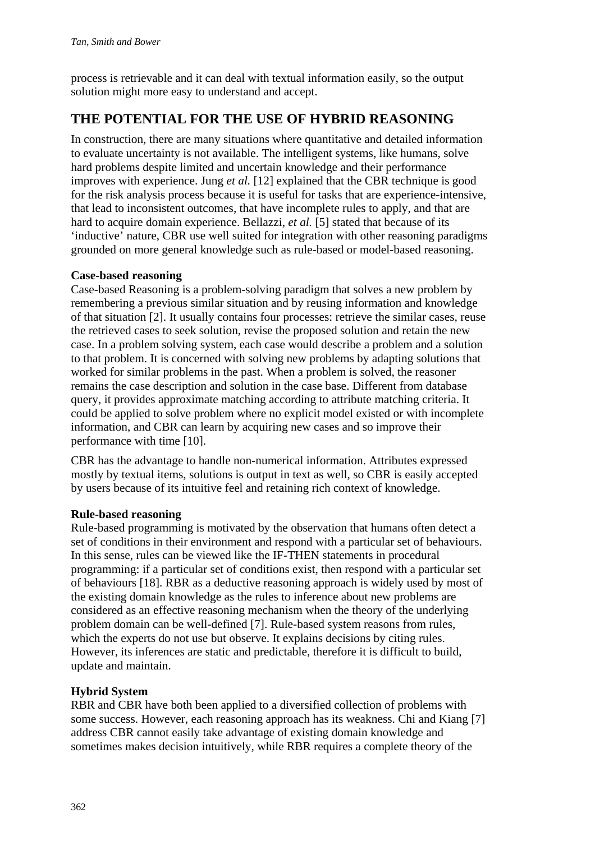process is retrievable and it can deal with textual information easily, so the output solution might more easy to understand and accept.

# **THE POTENTIAL FOR THE USE OF HYBRID REASONING**

In construction, there are many situations where quantitative and detailed information to evaluate uncertainty is not available. The intelligent systems, like humans, solve hard problems despite limited and uncertain knowledge and their performance improves with experience. Jung *et al.* [12] explained that the CBR technique is good for the risk analysis process because it is useful for tasks that are experience-intensive, that lead to inconsistent outcomes, that have incomplete rules to apply, and that are hard to acquire domain experience. Bellazzi, *et al.* [5] stated that because of its 'inductive' nature, CBR use well suited for integration with other reasoning paradigms grounded on more general knowledge such as rule-based or model-based reasoning.

## **Case-based reasoning**

Case-based Reasoning is a problem-solving paradigm that solves a new problem by remembering a previous similar situation and by reusing information and knowledge of that situation [2]. It usually contains four processes: retrieve the similar cases, reuse the retrieved cases to seek solution, revise the proposed solution and retain the new case. In a problem solving system, each case would describe a problem and a solution to that problem. It is concerned with solving new problems by adapting solutions that worked for similar problems in the past. When a problem is solved, the reasoner remains the case description and solution in the case base. Different from database query, it provides approximate matching according to attribute matching criteria. It could be applied to solve problem where no explicit model existed or with incomplete information, and CBR can learn by acquiring new cases and so improve their performance with time [10].

CBR has the advantage to handle non-numerical information. Attributes expressed mostly by textual items, solutions is output in text as well, so CBR is easily accepted by users because of its intuitive feel and retaining rich context of knowledge.

### **Rule-based reasoning**

Rule-based programming is motivated by the observation that humans often detect a set of conditions in their environment and respond with a particular set of behaviours. In this sense, rules can be viewed like the IF-THEN statements in procedural programming: if a particular set of conditions exist, then respond with a particular set of behaviours [18]. RBR as a deductive reasoning approach is widely used by most of the existing domain knowledge as the rules to inference about new problems are considered as an effective reasoning mechanism when the theory of the underlying problem domain can be well-defined [7]. Rule-based system reasons from rules, which the experts do not use but observe. It explains decisions by citing rules. However, its inferences are static and predictable, therefore it is difficult to build, update and maintain.

# **Hybrid System**

RBR and CBR have both been applied to a diversified collection of problems with some success. However, each reasoning approach has its weakness. Chi and Kiang [7] address CBR cannot easily take advantage of existing domain knowledge and sometimes makes decision intuitively, while RBR requires a complete theory of the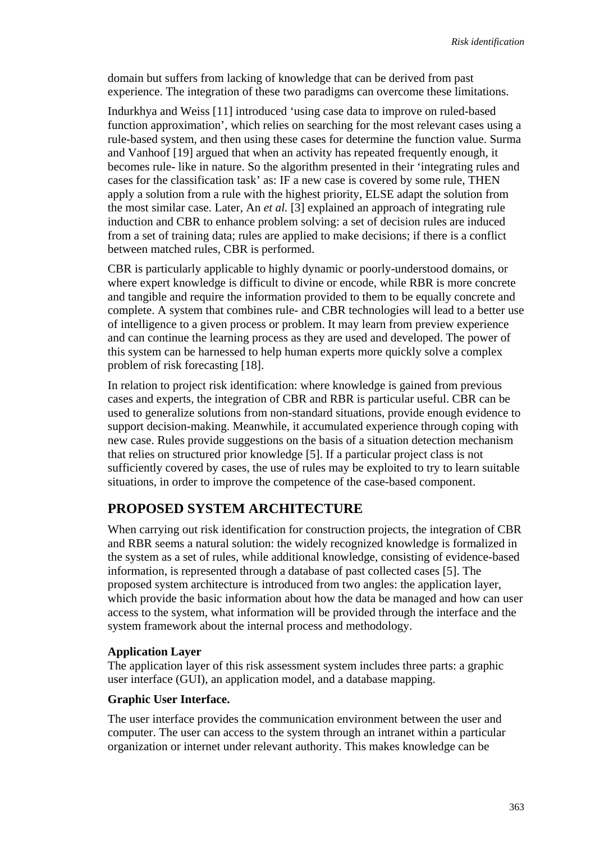domain but suffers from lacking of knowledge that can be derived from past experience. The integration of these two paradigms can overcome these limitations.

Indurkhya and Weiss [11] introduced 'using case data to improve on ruled-based function approximation', which relies on searching for the most relevant cases using a rule-based system, and then using these cases for determine the function value. Surma and Vanhoof [19] argued that when an activity has repeated frequently enough, it becomes rule- like in nature. So the algorithm presented in their 'integrating rules and cases for the classification task' as: IF a new case is covered by some rule, THEN apply a solution from a rule with the highest priority, ELSE adapt the solution from the most similar case. Later, An *et al.* [3] explained an approach of integrating rule induction and CBR to enhance problem solving: a set of decision rules are induced from a set of training data; rules are applied to make decisions; if there is a conflict between matched rules, CBR is performed.

CBR is particularly applicable to highly dynamic or poorly-understood domains, or where expert knowledge is difficult to divine or encode, while RBR is more concrete and tangible and require the information provided to them to be equally concrete and complete. A system that combines rule- and CBR technologies will lead to a better use of intelligence to a given process or problem. It may learn from preview experience and can continue the learning process as they are used and developed. The power of this system can be harnessed to help human experts more quickly solve a complex problem of risk forecasting [18].

In relation to project risk identification: where knowledge is gained from previous cases and experts, the integration of CBR and RBR is particular useful. CBR can be used to generalize solutions from non-standard situations, provide enough evidence to support decision-making. Meanwhile, it accumulated experience through coping with new case. Rules provide suggestions on the basis of a situation detection mechanism that relies on structured prior knowledge [5]. If a particular project class is not sufficiently covered by cases, the use of rules may be exploited to try to learn suitable situations, in order to improve the competence of the case-based component.

# **PROPOSED SYSTEM ARCHITECTURE**

When carrying out risk identification for construction projects, the integration of CBR and RBR seems a natural solution: the widely recognized knowledge is formalized in the system as a set of rules, while additional knowledge, consisting of evidence-based information, is represented through a database of past collected cases [5]. The proposed system architecture is introduced from two angles: the application layer, which provide the basic information about how the data be managed and how can user access to the system, what information will be provided through the interface and the system framework about the internal process and methodology.

### **Application Layer**

The application layer of this risk assessment system includes three parts: a graphic user interface (GUI), an application model, and a database mapping.

#### **Graphic User Interface.**

The user interface provides the communication environment between the user and computer. The user can access to the system through an intranet within a particular organization or internet under relevant authority. This makes knowledge can be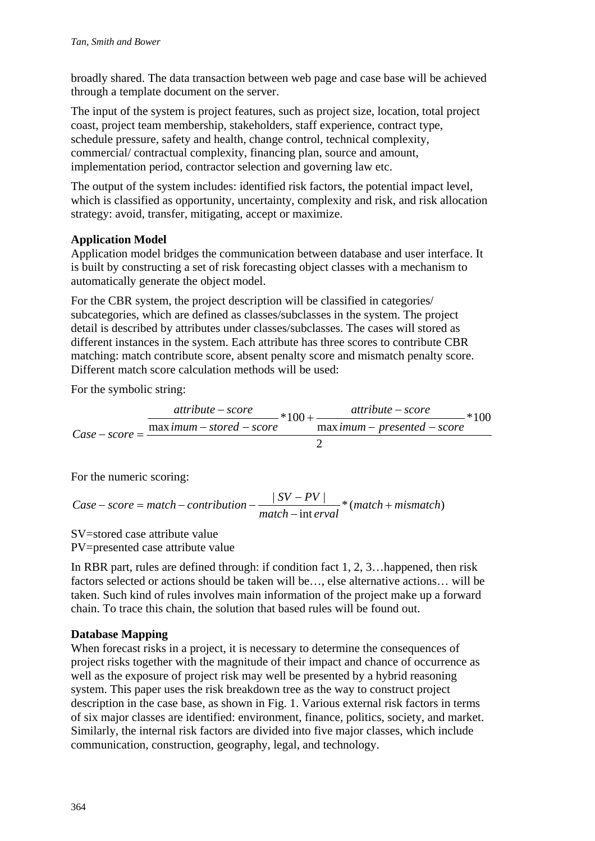broadly shared. The data transaction between web page and case base will be achieved through a template document on the server.

The input of the system is project features, such as project size, location, total project coast, project team membership, stakeholders, staff experience, contract type, schedule pressure, safety and health, change control, technical complexity, commercial/ contractual complexity, financing plan, source and amount, implementation period, contractor selection and governing law etc.

The output of the system includes: identified risk factors, the potential impact level, which is classified as opportunity, uncertainty, complexity and risk, and risk allocation strategy: avoid, transfer, mitigating, accept or maximize.

## **Application Model**

Application model bridges the communication between database and user interface. It is built by constructing a set of risk forecasting object classes with a mechanism to automatically generate the object model.

For the CBR system, the project description will be classified in categories/ subcategories, which are defined as classes/subclasses in the system. The project detail is described by attributes under classes/subclasses. The cases will stored as different instances in the system. Each attribute has three scores to contribute CBR matching: match contribute score, absent penalty score and mismatch penalty score. Different match score calculation methods will be used:

For the symbolic string:

$$
Case - score = \frac{attribute - score}{maximum - stored - score} * 100 + \frac{attribute - score}{maximum - presented - score} * 100
$$

For the numeric scoring:

Case – score = match – contribution – 
$$
\frac{|SV - PV|}{match - interval} * (match + mismatch)
$$

SV=stored case attribute value

PV=presented case attribute value

In RBR part, rules are defined through: if condition fact 1, 2, 3…happened, then risk factors selected or actions should be taken will be…, else alternative actions… will be taken. Such kind of rules involves main information of the project make up a forward chain. To trace this chain, the solution that based rules will be found out.

### **Database Mapping**

When forecast risks in a project, it is necessary to determine the consequences of project risks together with the magnitude of their impact and chance of occurrence as well as the exposure of project risk may well be presented by a hybrid reasoning system. This paper uses the risk breakdown tree as the way to construct project description in the case base, as shown in Fig. 1. Various external risk factors in terms of six major classes are identified: environment, finance, politics, society, and market. Similarly, the internal risk factors are divided into five major classes, which include communication, construction, geography, legal, and technology.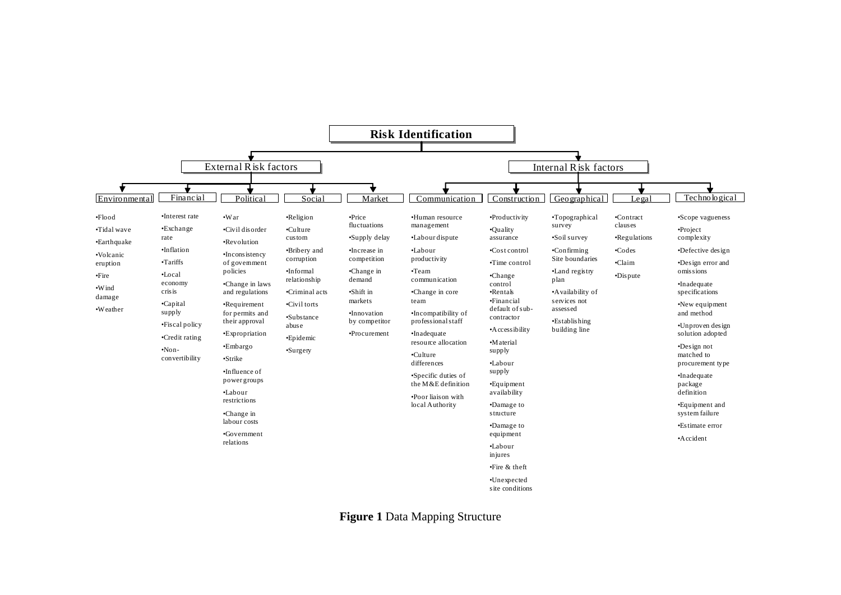

**Figure 1** Data Mapping Structure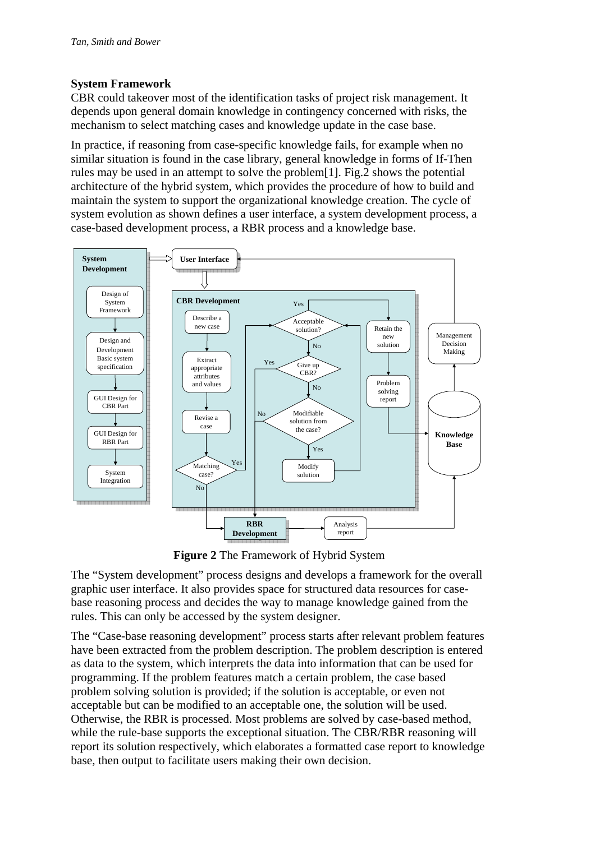#### **System Framework**

CBR could takeover most of the identification tasks of project risk management. It depends upon general domain knowledge in contingency concerned with risks, the mechanism to select matching cases and knowledge update in the case base.

In practice, if reasoning from case-specific knowledge fails, for example when no similar situation is found in the case library, general knowledge in forms of If-Then rules may be used in an attempt to solve the problem[1]. Fig.2 shows the potential architecture of the hybrid system, which provides the procedure of how to build and maintain the system to support the organizational knowledge creation. The cycle of system evolution as shown defines a user interface, a system development process, a case-based development process, a RBR process and a knowledge base.



**Figure 2** The Framework of Hybrid System

The "System development" process designs and develops a framework for the overall graphic user interface. It also provides space for structured data resources for casebase reasoning process and decides the way to manage knowledge gained from the rules. This can only be accessed by the system designer.

The "Case-base reasoning development" process starts after relevant problem features have been extracted from the problem description. The problem description is entered as data to the system, which interprets the data into information that can be used for programming. If the problem features match a certain problem, the case based problem solving solution is provided; if the solution is acceptable, or even not acceptable but can be modified to an acceptable one, the solution will be used. Otherwise, the RBR is processed. Most problems are solved by case-based method, while the rule-base supports the exceptional situation. The CBR/RBR reasoning will report its solution respectively, which elaborates a formatted case report to knowledge base, then output to facilitate users making their own decision.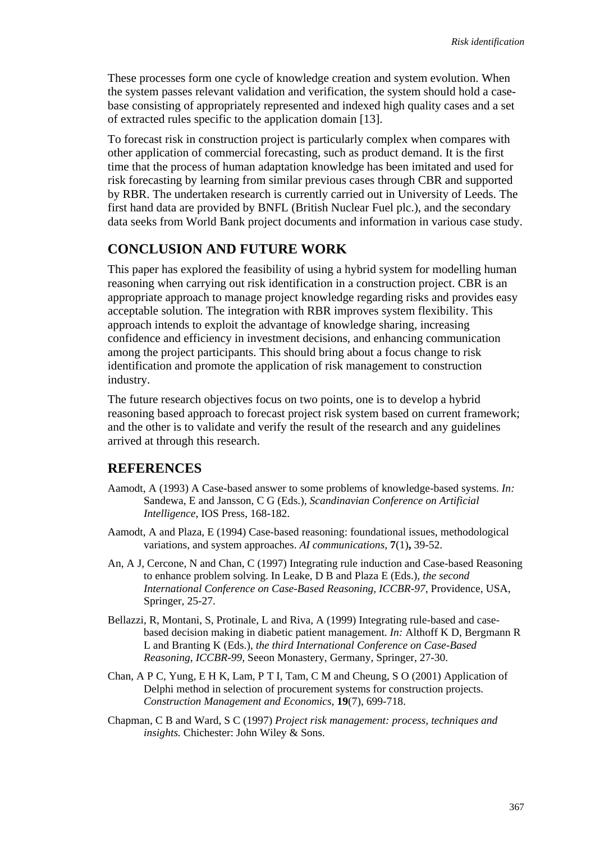These processes form one cycle of knowledge creation and system evolution. When the system passes relevant validation and verification, the system should hold a casebase consisting of appropriately represented and indexed high quality cases and a set of extracted rules specific to the application domain [13].

To forecast risk in construction project is particularly complex when compares with other application of commercial forecasting, such as product demand. It is the first time that the process of human adaptation knowledge has been imitated and used for risk forecasting by learning from similar previous cases through CBR and supported by RBR. The undertaken research is currently carried out in University of Leeds. The first hand data are provided by BNFL (British Nuclear Fuel plc.), and the secondary data seeks from World Bank project documents and information in various case study.

## **CONCLUSION AND FUTURE WORK**

This paper has explored the feasibility of using a hybrid system for modelling human reasoning when carrying out risk identification in a construction project. CBR is an appropriate approach to manage project knowledge regarding risks and provides easy acceptable solution. The integration with RBR improves system flexibility. This approach intends to exploit the advantage of knowledge sharing, increasing confidence and efficiency in investment decisions, and enhancing communication among the project participants. This should bring about a focus change to risk identification and promote the application of risk management to construction industry.

The future research objectives focus on two points, one is to develop a hybrid reasoning based approach to forecast project risk system based on current framework; and the other is to validate and verify the result of the research and any guidelines arrived at through this research.

## **REFERENCES**

- Aamodt, A (1993) A Case-based answer to some problems of knowledge-based systems. *In:* Sandewa, E and Jansson, C G (Eds.), *Scandinavian Conference on Artificial Intelligence,* IOS Press, 168-182.
- Aamodt, A and Plaza, E (1994) Case-based reasoning: foundational issues, methodological variations, and system approaches. *AI communications,* **7**(1)**,** 39-52.
- An, A J, Cercone, N and Chan, C (1997) Integrating rule induction and Case-based Reasoning to enhance problem solving. In Leake, D B and Plaza E (Eds.), *the second International Conference on Case-Based Reasoning, ICCBR-97,* Providence, USA, Springer, 25-27.
- Bellazzi, R, Montani, S, Protinale, L and Riva, A (1999) Integrating rule-based and casebased decision making in diabetic patient management. *In:* Althoff K D, Bergmann R L and Branting K (Eds.), *the third International Conference on Case-Based Reasoning, ICCBR-99,* Seeon Monastery, Germany, Springer, 27-30.
- Chan, A P C, Yung, E H K, Lam, P T I, Tam, C M and Cheung, S O (2001) Application of Delphi method in selection of procurement systems for construction projects. *Construction Management and Economics,* **19**(7), 699-718.
- Chapman, C B and Ward, S C (1997) *Project risk management: process, techniques and insights.* Chichester: John Wiley & Sons.